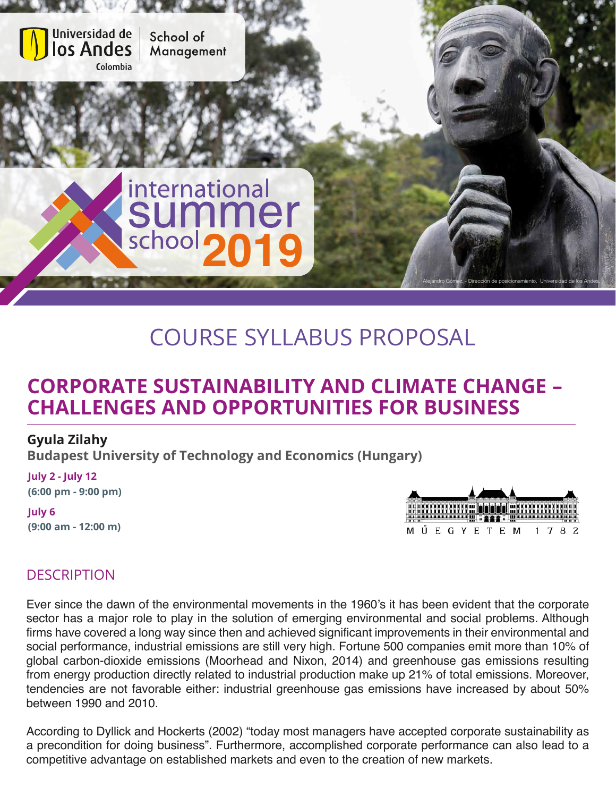

# COURSE SYLLABUS PROPOSAL

# **CORPORATE SUSTAINABILITY AND CLIMATE CHANGE – CHALLENGES AND OPPORTUNITIES FOR BUSINESS**

#### **Gyula Zilahy**

**Budapest University of Technology and Economics (Hungary)**

**July 2 - July 12 (6:00 pm - 9:00 pm)**

**July 6 (9:00 am - 12:00 m)**



## **DESCRIPTION**

Ever since the dawn of the environmental movements in the 1960's it has been evident that the corporate sector has a major role to play in the solution of emerging environmental and social problems. Although firms have covered a long way since then and achieved significant improvements in their environmental and social performance, industrial emissions are still very high. Fortune 500 companies emit more than 10% of global carbon-dioxide emissions (Moorhead and Nixon, 2014) and greenhouse gas emissions resulting from energy production directly related to industrial production make up 21% of total emissions. Moreover, tendencies are not favorable either: industrial greenhouse gas emissions have increased by about 50% between 1990 and 2010.

According to Dyllick and Hockerts (2002) "today most managers have accepted corporate sustainability as a precondition for doing business". Furthermore, accomplished corporate performance can also lead to a competitive advantage on established markets and even to the creation of new markets.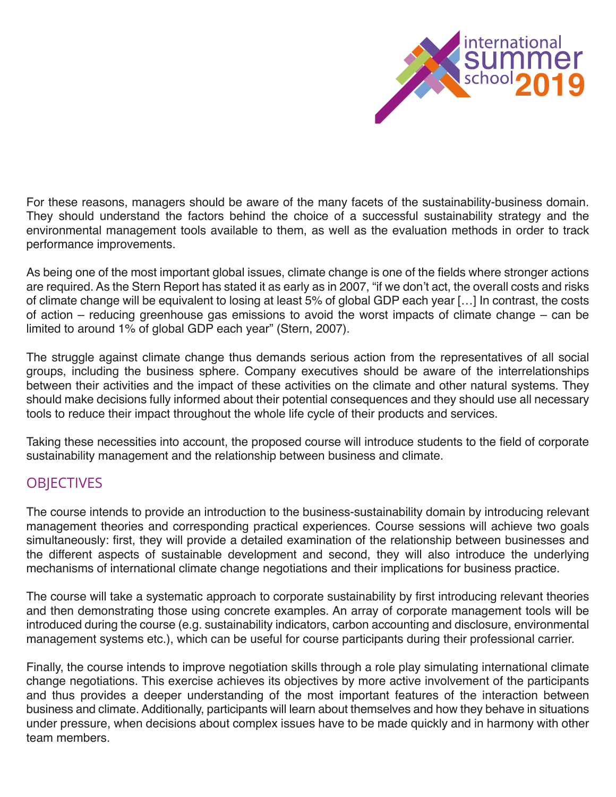

For these reasons, managers should be aware of the many facets of the sustainability-business domain. They should understand the factors behind the choice of a successful sustainability strategy and the environmental management tools available to them, as well as the evaluation methods in order to track performance improvements.

As being one of the most important global issues, climate change is one of the fields where stronger actions are required. As the Stern Report has stated it as early as in 2007, "if we don't act, the overall costs and risks of climate change will be equivalent to losing at least 5% of global GDP each year […] In contrast, the costs of action – reducing greenhouse gas emissions to avoid the worst impacts of climate change – can be limited to around 1% of global GDP each year" (Stern, 2007).

The struggle against climate change thus demands serious action from the representatives of all social groups, including the business sphere. Company executives should be aware of the interrelationships between their activities and the impact of these activities on the climate and other natural systems. They should make decisions fully informed about their potential consequences and they should use all necessary tools to reduce their impact throughout the whole life cycle of their products and services.

Taking these necessities into account, the proposed course will introduce students to the field of corporate sustainability management and the relationship between business and climate.

### **OBJECTIVES**

The course intends to provide an introduction to the business-sustainability domain by introducing relevant management theories and corresponding practical experiences. Course sessions will achieve two goals simultaneously: first, they will provide a detailed examination of the relationship between businesses and the different aspects of sustainable development and second, they will also introduce the underlying mechanisms of international climate change negotiations and their implications for business practice.

The course will take a systematic approach to corporate sustainability by first introducing relevant theories and then demonstrating those using concrete examples. An array of corporate management tools will be introduced during the course (e.g. sustainability indicators, carbon accounting and disclosure, environmental management systems etc.), which can be useful for course participants during their professional carrier.

Finally, the course intends to improve negotiation skills through a role play simulating international climate change negotiations. This exercise achieves its objectives by more active involvement of the participants and thus provides a deeper understanding of the most important features of the interaction between business and climate. Additionally, participants will learn about themselves and how they behave in situations under pressure, when decisions about complex issues have to be made quickly and in harmony with other team members.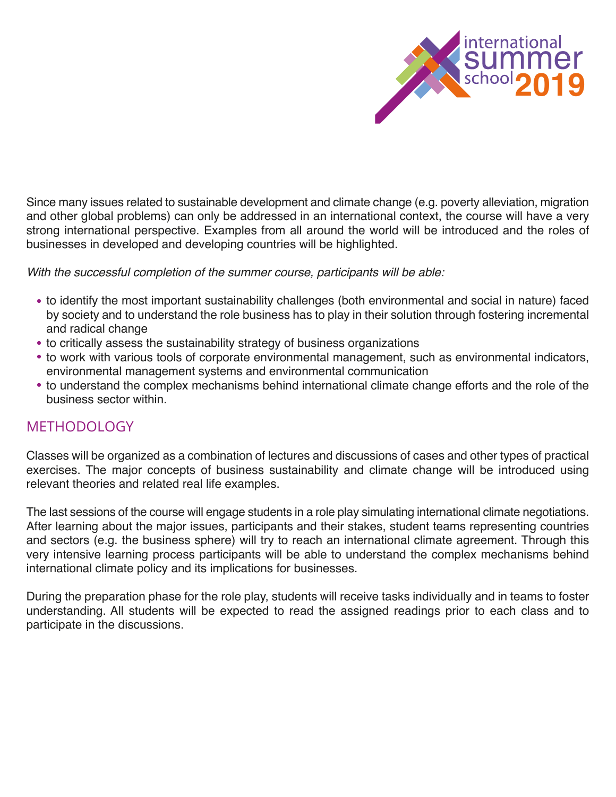

Since many issues related to sustainable development and climate change (e.g. poverty alleviation, migration and other global problems) can only be addressed in an international context, the course will have a very strong international perspective. Examples from all around the world will be introduced and the roles of businesses in developed and developing countries will be highlighted.

*With the successful completion of the summer course, participants will be able:*

- to identify the most important sustainability challenges (both environmental and social in nature) faced by society and to understand the role business has to play in their solution through fostering incremental and radical change
- to critically assess the sustainability strategy of business organizations
- to work with various tools of corporate environmental management, such as environmental indicators, environmental management systems and environmental communication
- to understand the complex mechanisms behind international climate change efforts and the role of the business sector within.

### **METHODOLOGY**

Classes will be organized as a combination of lectures and discussions of cases and other types of practical exercises. The major concepts of business sustainability and climate change will be introduced using relevant theories and related real life examples.

The last sessions of the course will engage students in a role play simulating international climate negotiations. After learning about the major issues, participants and their stakes, student teams representing countries and sectors (e.g. the business sphere) will try to reach an international climate agreement. Through this very intensive learning process participants will be able to understand the complex mechanisms behind international climate policy and its implications for businesses.

During the preparation phase for the role play, students will receive tasks individually and in teams to foster understanding. All students will be expected to read the assigned readings prior to each class and to participate in the discussions.